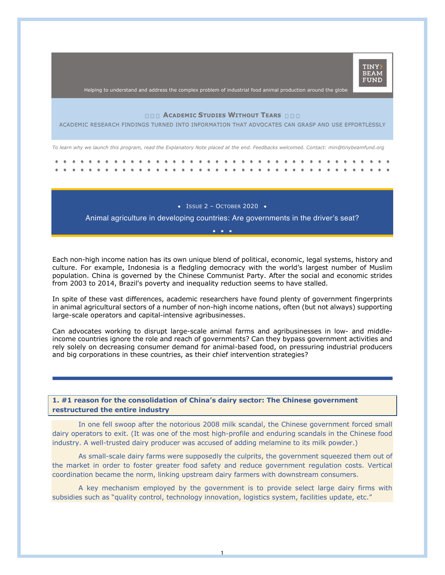

Helping to understand and address the complex problem of industrial food animal production around the globe

## **ACADEMIC STUDIES WITHOUT TEARS**

ACADEMIC RESEARCH FINDINGS TURNED INTO INFORMATION THAT ADVOCATES CAN GRASP AND USE EFFORTLESSLY

*To learn why we launch this program, read the Explanatory Note placed at the end. Feedbacks welcomed. Contact: min@tinybeamfund.org*

•ISSUE 2 – OCTOBER 2020 •

Animal agriculture in developing countries: Are governments in the driver's seat? •••

Each non-high income nation has its own unique blend of political, economic, legal systems, history and culture. For example, Indonesia is a fledgling democracy with the world's largest number of Muslim population. China is governed by the Chinese Communist Party. After the social and economic strides from 2003 to 2014, Brazil's poverty and inequality reduction seems to have stalled.

In spite of these vast differences, academic researchers have found plenty of government fingerprints in animal agricultural sectors of a number of non-high income nations, often (but not always) supporting large-scale operators and capital-intensive agribusinesses.

Can advocates working to disrupt large-scale animal farms and agribusinesses in low- and middleincome countries ignore the role and reach of governments? Can they bypass government activities and rely solely on decreasing consumer demand for animal-based food, on pressuring industrial producers and big corporations in these countries, as their chief intervention strategies?

**1. #1 reason for the consolidation of China's dairy sector: The Chinese government restructured the entire industry**

In one fell swoop after the notorious 2008 milk scandal, the Chinese government forced small dairy operators to exit. (It was one of the most high-profile and enduring scandals in the Chinese food industry. A well-trusted dairy producer was accused of adding melamine to its milk powder.)

As small-scale dairy farms were supposedly the culprits, the government squeezed them out of the market in order to foster greater food safety and reduce government regulation costs. Vertical coordination became the norm, linking upstream dairy farmers with downstream consumers.

A key mechanism employed by the government is to provide select large dairy firms with subsidies such as "quality control, technology innovation, logistics system, facilities update, etc."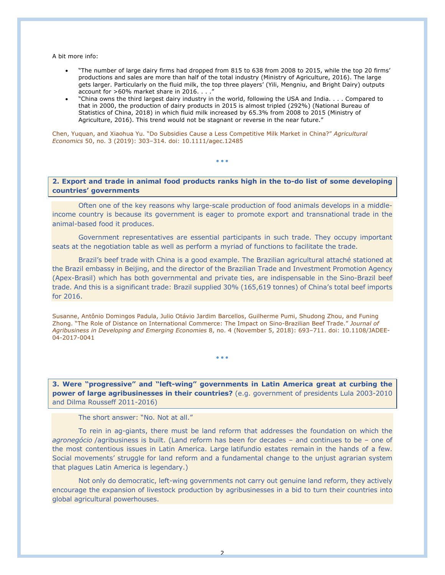A bit more info:

- "The number of large dairy firms had dropped from 815 to 638 from 2008 to 2015, while the top 20 firms' productions and sales are more than half of the total industry (Ministry of Agriculture, 2016). The large gets larger. Particularly on the fluid milk, the top three players' (Yili, Mengniu, and Bright Dairy) outputs account for >60% market share in 2016. . . .'
- "China owns the third largest dairy industry in the world, following the USA and India. . . . Compared to that in 2000, the production of dairy products in 2015 is almost tripled (292%) (National Bureau of Statistics of China, 2018) in which fluid milk increased by 65.3% from 2008 to 2015 (Ministry of Agriculture, 2016). This trend would not be stagnant or reverse in the near future."

Chen, Yuquan, and Xiaohua Yu. "Do Subsidies Cause a Less Competitive Milk Market in China?" *Agricultural Economics* 50, no. 3 (2019): 303–314. doi: 10.1111/agec.12485

## **2. Export and trade in animal food products ranks high in the to-do list of some developing countries' governments**

• • •

Often one of the key reasons why large-scale production of food animals develops in a middleincome country is because its government is eager to promote export and transnational trade in the animal-based food it produces.

Government representatives are essential participants in such trade. They occupy important seats at the negotiation table as well as perform a myriad of functions to facilitate the trade.

Brazil's beef trade with China is a good example. The Brazilian agricultural attaché stationed at the Brazil embassy in Beijing, and the director of the Brazilian Trade and Investment Promotion Agency (Apex-Brasil) which has both governmental and private ties, are indispensable in the Sino-Brazil beef trade. And this is a significant trade: Brazil supplied 30% (165,619 tonnes) of China's total beef imports for 2016.

Susanne, Antônio Domingos Padula, Julio Otávio Jardim Barcellos, Guilherme Pumi, Shudong Zhou, and Funing Zhong. "The Role of Distance on International Commerce: The Impact on Sino-Brazilian Beef Trade." *Journal of Agribusiness in Developing and Emerging Economies* 8, no. 4 (November 5, 2018): 693–711. doi: 10.1108/JADEE-04-2017-0041

• • •

**3. Were "progressive" and "left-wing" governments in Latin America great at curbing the power of large agribusinesses in their countries?** (e.g. government of presidents Lula 2003-2010 and Dilma Rousseff 2011-2016)

The short answer: "No. Not at all."

To rein in ag-giants, there must be land reform that addresses the foundation on which the *agronegócio* /agribusiness is built. (Land reform has been for decades – and continues to be – one of the most contentious issues in Latin America. Large latifundio estates remain in the hands of a few. Social movements' struggle for land reform and a fundamental change to the unjust agrarian system that plagues Latin America is legendary.)

Not only do democratic, left-wing governments not carry out genuine land reform, they actively encourage the expansion of livestock production by agribusinesses in a bid to turn their countries into global agricultural powerhouses.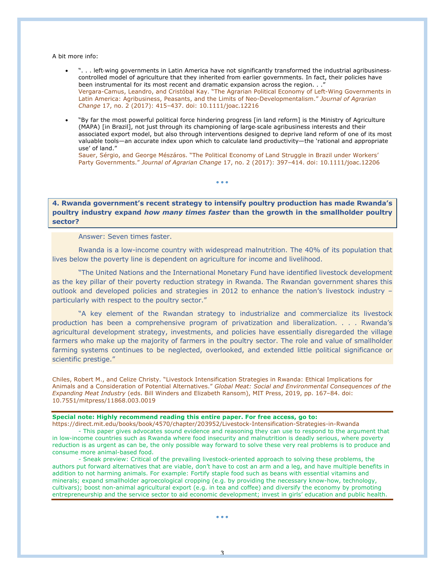A bit more info:

- ". . . left-wing governments in Latin America have not significantly transformed the industrial agribusinesscontrolled model of agriculture that they inherited from earlier governments. In fact, their policies have been instrumental for its most recent and dramatic expansion across the region. . .' Vergara-Camus, Leandro, and Cristóbal Kay. "The Agrarian Political Economy of Left-Wing Governments in Latin America: Agribusiness, Peasants, and the Limits of Neo-Developmentalism." *Journal of Agrarian Change* 17, no. 2 (2017): 415–437. doi: 10.1111/joac.12216
- "By far the most powerful political force hindering progress [in land reform] is the Ministry of Agriculture (MAPA) [in Brazil], not just through its championing of large-scale agribusiness interests and their associated export model, but also through interventions designed to deprive land reform of one of its most valuable tools—an accurate index upon which to calculate land productivity—the 'rational and appropriate use' of land."

Sauer, Sérgio, and George Mészáros. "The Political Economy of Land Struggle in Brazil under Workers' Party Governments." *Journal of Agrarian Change* 17, no. 2 (2017): 397–414. doi: 10.1111/joac.12206

# **4. Rwanda government's recent strategy to intensify poultry production has made Rwanda's poultry industry expand** *how many times faster* **than the growth in the smallholder poultry sector?**

• • •

Answer: Seven times faster.

Rwanda is a low-income country with widespread malnutrition. The 40% of its population that lives below the poverty line is dependent on agriculture for income and livelihood.

"The United Nations and the International Monetary Fund have identified livestock development as the key pillar of their poverty reduction strategy in Rwanda. The Rwandan government shares this outlook and developed policies and strategies in 2012 to enhance the nation's livestock industry – particularly with respect to the poultry sector."

"A key element of the Rwandan strategy to industrialize and commercialize its livestock production has been a comprehensive program of privatization and liberalization. . . . Rwanda's agricultural development strategy, investments, and policies have essentially disregarded the village farmers who make up the majority of farmers in the poultry sector. The role and value of smallholder farming systems continues to be neglected, overlooked, and extended little political significance or scientific prestige."

Chiles, Robert M., and Celize Christy. "Livestock Intensification Strategies in Rwanda: Ethical Implications for Animals and a Consideration of Potential Alternatives." *Global Meat: Social and Environmental Consequences of the Expanding Meat Industry* (eds. Bill Winders and Elizabeth Ransom), MIT Press, 2019, pp. 167–84. doi: 10.7551/mitpress/11868.003.0019

#### **Special note: Highly recommend reading this entire paper. For free access, go to:**

https://direct.mit.edu/books/book/4570/chapter/203952/Livestock-Intensification-Strategies-in-Rwanda - This paper gives advocates sound evidence and reasoning they can use to respond to the argument that in low-income countries such as Rwanda where food insecurity and malnutrition is deadly serious, where poverty reduction is as urgent as can be, the only possible way forward to solve these very real problems is to produce and consume more animal-based food.

- Sneak preview: Critical of the prevailing livestock-oriented approach to solving these problems, the authors put forward alternatives that are viable, don't have to cost an arm and a leg, and have multiple benefits in addition to not harming animals. For example: Fortify staple food such as beans with essential vitamins and minerals; expand smallholder agroecological cropping (e.g. by providing the necessary know-how, technology, cultivars); boost non-animal agricultural export (e.g. in tea and coffee) and diversify the economy by promoting entrepreneurship and the service sector to aid economic development; invest in girls' education and public health.

• • •

3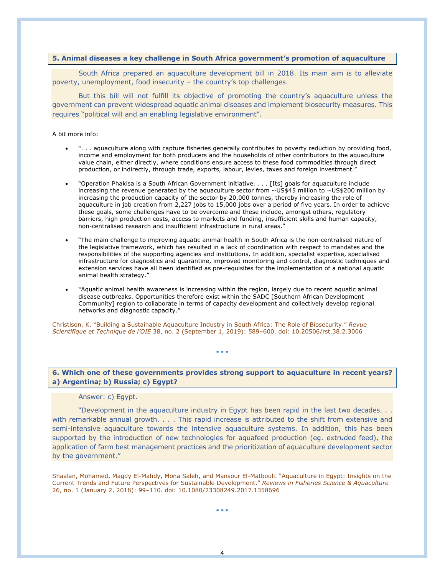## **5. Animal diseases a key challenge in South Africa government's promotion of aquaculture**

South Africa prepared an aquaculture development bill in 2018. Its main aim is to alleviate poverty, unemployment, food insecurity – the country's top challenges.

But this bill will not fulfill its objective of promoting the country's aquaculture unless the government can prevent widespread aquatic animal diseases and implement biosecurity measures. This requires "political will and an enabling legislative environment".

#### A bit more info:

- ". . . aquaculture along with capture fisheries generally contributes to poverty reduction by providing food, income and employment for both producers and the households of other contributors to the aquaculture value chain, either directly, where conditions ensure access to these food commodities through direct production, or indirectly, through trade, exports, labour, levies, taxes and foreign investment."
- "Operation Phakisa is a South African Government initiative. . . . [Its] goals for aquaculture include increasing the revenue generated by the aquaculture sector from ~US\$45 million to ~US\$200 million by increasing the production capacity of the sector by 20,000 tonnes, thereby increasing the role of aquaculture in job creation from 2,227 jobs to 15,000 jobs over a period of five years. In order to achieve these goals, some challenges have to be overcome and these include, amongst others, regulatory barriers, high production costs, access to markets and funding, insufficient skills and human capacity, non-centralised research and insufficient infrastructure in rural areas."
- "The main challenge to improving aquatic animal health in South Africa is the non-centralised nature of the legislative framework, which has resulted in a lack of coordination with respect to mandates and the responsibilities of the supporting agencies and institutions. In addition, specialist expertise, specialised infrastructure for diagnostics and quarantine, improved monitoring and control, diagnostic techniques and extension services have all been identified as pre-requisites for the implementation of a national aquatic animal health strategy."
- "Aquatic animal health awareness is increasing within the region, largely due to recent aquatic animal disease outbreaks. Opportunities therefore exist within the SADC [Southern African Development Community] region to collaborate in terms of capacity development and collectively develop regional networks and diagnostic capacity."

Christison, K. "Building a Sustainable Aquaculture Industry in South Africa: The Role of Biosecurity." *Revue Scientifique et Technique de l'OIE* 38, no. 2 (September 1, 2019): 589–600. doi: 10.20506/rst.38.2.3006

**6. Which one of these governments provides strong support to aquaculture in recent years? a) Argentina; b) Russia; c) Egypt?**

• • •

### Answer: c) Egypt.

"Development in the aquaculture industry in Egypt has been rapid in the last two decades. . . with remarkable annual growth. . . . This rapid increase is attributed to the shift from extensive and semi-intensive aquaculture towards the intensive aquaculture systems. In addition, this has been supported by the introduction of new technologies for aquafeed production (eg. extruded feed), the application of farm best management practices and the prioritization of aquaculture development sector by the government."

Shaalan, Mohamed, Magdy El-Mahdy, Mona Saleh, and Mansour El-Matbouli. "Aquaculture in Egypt: Insights on the Current Trends and Future Perspectives for Sustainable Development." *Reviews in Fisheries Science & Aquaculture* 26, no. 1 (January 2, 2018): 99–110. doi: 10.1080/23308249.2017.1358696

• • •

4